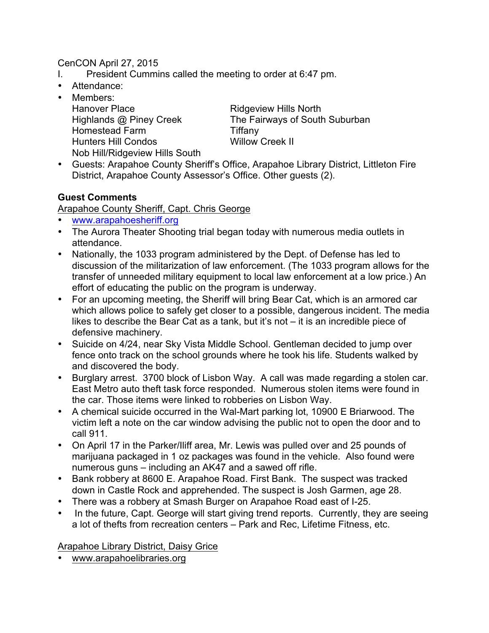## CenCON April 27, 2015

- I. President Cummins called the meeting to order at 6:47 pm.
- Attendance:
- Members: Hanover Place Ridgeview Hills North Homestead Farm Tiffany Hunters Hill Condos Willow Creek II Nob Hill/Ridgeview Hills South

Highlands @ Piney Creek The Fairways of South Suburban

• Guests: Arapahoe County Sheriff's Office, Arapahoe Library District, Littleton Fire District, Arapahoe County Assessor's Office. Other guests (2).

## **Guest Comments**

Arapahoe County Sheriff, Capt. Chris George

- www.arapahoesheriff.org
- The Aurora Theater Shooting trial began today with numerous media outlets in attendance.
- Nationally, the 1033 program administered by the Dept. of Defense has led to discussion of the militarization of law enforcement. (The 1033 program allows for the transfer of unneeded military equipment to local law enforcement at a low price.) An effort of educating the public on the program is underway.
- For an upcoming meeting, the Sheriff will bring Bear Cat, which is an armored car which allows police to safely get closer to a possible, dangerous incident. The media likes to describe the Bear Cat as a tank, but it's not – it is an incredible piece of defensive machinery.
- Suicide on 4/24, near Sky Vista Middle School. Gentleman decided to jump over fence onto track on the school grounds where he took his life. Students walked by and discovered the body.
- Burglary arrest. 3700 block of Lisbon Way. A call was made regarding a stolen car. East Metro auto theft task force responded. Numerous stolen items were found in the car. Those items were linked to robberies on Lisbon Way.
- A chemical suicide occurred in the Wal-Mart parking lot, 10900 E Briarwood. The victim left a note on the car window advising the public not to open the door and to call 911.
- On April 17 in the Parker/Iliff area, Mr. Lewis was pulled over and 25 pounds of marijuana packaged in 1 oz packages was found in the vehicle. Also found were numerous guns – including an AK47 and a sawed off rifle.
- Bank robbery at 8600 E. Arapahoe Road. First Bank. The suspect was tracked down in Castle Rock and apprehended. The suspect is Josh Garmen, age 28.
- There was a robbery at Smash Burger on Arapahoe Road east of I-25.
- In the future, Capt. George will start giving trend reports. Currently, they are seeing a lot of thefts from recreation centers – Park and Rec, Lifetime Fitness, etc.

Arapahoe Library District, Daisy Grice

• www.arapahoelibraries.org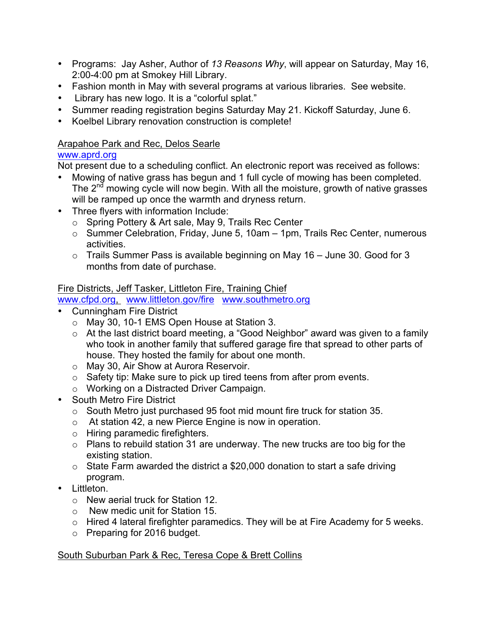- Programs: Jay Asher, Author of *13 Reasons Why*, will appear on Saturday, May 16, 2:00-4:00 pm at Smokey Hill Library.
- Fashion month in May with several programs at various libraries. See website.
- Library has new logo. It is a "colorful splat."
- Summer reading registration begins Saturday May 21. Kickoff Saturday, June 6.
- Koelbel Library renovation construction is complete!

### Arapahoe Park and Rec, Delos Searle

## www.aprd.org

Not present due to a scheduling conflict. An electronic report was received as follows:

- Mowing of native grass has begun and 1 full cycle of mowing has been completed. The 2<sup>nd</sup> mowing cycle will now begin. With all the moisture, growth of native grasses will be ramped up once the warmth and dryness return.
- Three flyers with information Include:
	- o Spring Pottery & Art sale, May 9, Trails Rec Center
	- o Summer Celebration, Friday, June 5, 10am 1pm, Trails Rec Center, numerous activities.
	- o Trails Summer Pass is available beginning on May 16 June 30. Good for 3 months from date of purchase.

## Fire Districts, Jeff Tasker, Littleton Fire, Training Chief

www.cfpd.org, www.littleton.gov/fire www.southmetro.org

- Cunningham Fire District
	- o May 30, 10-1 EMS Open House at Station 3.
	- o At the last district board meeting, a "Good Neighbor" award was given to a family who took in another family that suffered garage fire that spread to other parts of house. They hosted the family for about one month.
	- o May 30, Air Show at Aurora Reservoir.
	- $\circ$  Safety tip: Make sure to pick up tired teens from after prom events.
	- o Working on a Distracted Driver Campaign.
- South Metro Fire District
	- o South Metro just purchased 95 foot mid mount fire truck for station 35.
	- o At station 42, a new Pierce Engine is now in operation.
	- o Hiring paramedic firefighters.
	- $\circ$  Plans to rebuild station 31 are underway. The new trucks are too big for the existing station.
	- $\circ$  State Farm awarded the district a \$20,000 donation to start a safe driving program.
- Littleton.
	- o New aerial truck for Station 12.
	- o New medic unit for Station 15.
	- o Hired 4 lateral firefighter paramedics. They will be at Fire Academy for 5 weeks.
	- o Preparing for 2016 budget.

#### South Suburban Park & Rec, Teresa Cope & Brett Collins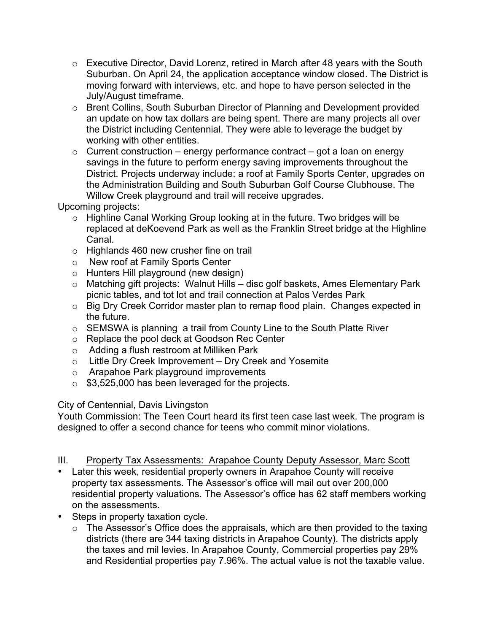- $\circ$  Executive Director, David Lorenz, retired in March after 48 years with the South Suburban. On April 24, the application acceptance window closed. The District is moving forward with interviews, etc. and hope to have person selected in the July/August timeframe.
- o Brent Collins, South Suburban Director of Planning and Development provided an update on how tax dollars are being spent. There are many projects all over the District including Centennial. They were able to leverage the budget by working with other entities.
- $\circ$  Current construction energy performance contract got a loan on energy savings in the future to perform energy saving improvements throughout the District. Projects underway include: a roof at Family Sports Center, upgrades on the Administration Building and South Suburban Golf Course Clubhouse. The Willow Creek playground and trail will receive upgrades.

Upcoming projects:

- $\circ$  Highline Canal Working Group looking at in the future. Two bridges will be replaced at deKoevend Park as well as the Franklin Street bridge at the Highline Canal.
- o Highlands 460 new crusher fine on trail
- o New roof at Family Sports Center
- o Hunters Hill playground (new design)
- o Matching gift projects: Walnut Hills disc golf baskets, Ames Elementary Park picnic tables, and tot lot and trail connection at Palos Verdes Park
- o Big Dry Creek Corridor master plan to remap flood plain. Changes expected in the future.
- o SEMSWA is planning a trail from County Line to the South Platte River
- o Replace the pool deck at Goodson Rec Center
- o Adding a flush restroom at Milliken Park
- o Little Dry Creek Improvement Dry Creek and Yosemite
- o Arapahoe Park playground improvements
- $\circ$  \$3,525,000 has been leveraged for the projects.

#### City of Centennial, Davis Livingston

Youth Commission: The Teen Court heard its first teen case last week. The program is designed to offer a second chance for teens who commit minor violations.

#### III. Property Tax Assessments: Arapahoe County Deputy Assessor, Marc Scott

- Later this week, residential property owners in Arapahoe County will receive property tax assessments. The Assessor's office will mail out over 200,000 residential property valuations. The Assessor's office has 62 staff members working on the assessments.
- Steps in property taxation cycle.
	- $\circ$  The Assessor's Office does the appraisals, which are then provided to the taxing districts (there are 344 taxing districts in Arapahoe County). The districts apply the taxes and mil levies. In Arapahoe County, Commercial properties pay 29% and Residential properties pay 7.96%. The actual value is not the taxable value.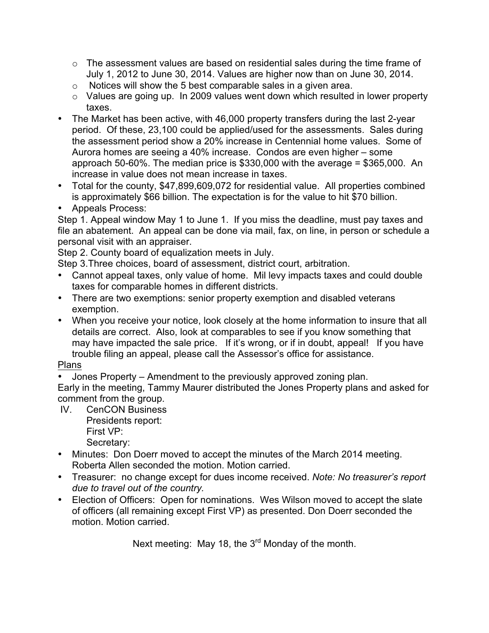- $\circ$  The assessment values are based on residential sales during the time frame of July 1, 2012 to June 30, 2014. Values are higher now than on June 30, 2014.
- $\circ$  Notices will show the 5 best comparable sales in a given area.
- o Values are going up. In 2009 values went down which resulted in lower property taxes.
- The Market has been active, with 46,000 property transfers during the last 2-year period. Of these, 23,100 could be applied/used for the assessments. Sales during the assessment period show a 20% increase in Centennial home values. Some of Aurora homes are seeing a 40% increase. Condos are even higher – some approach 50-60%. The median price is \$330,000 with the average = \$365,000. An increase in value does not mean increase in taxes.
- Total for the county, \$47,899,609,072 for residential value. All properties combined is approximately \$66 billion. The expectation is for the value to hit \$70 billion.
- Appeals Process:

Step 1. Appeal window May 1 to June 1. If you miss the deadline, must pay taxes and file an abatement. An appeal can be done via mail, fax, on line, in person or schedule a personal visit with an appraiser.

Step 2. County board of equalization meets in July.

Step 3.Three choices, board of assessment, district court, arbitration.

- Cannot appeal taxes, only value of home. Mil levy impacts taxes and could double taxes for comparable homes in different districts.
- There are two exemptions: senior property exemption and disabled veterans exemption.
- When you receive your notice, look closely at the home information to insure that all details are correct. Also, look at comparables to see if you know something that may have impacted the sale price. If it's wrong, or if in doubt, appeal! If you have trouble filing an appeal, please call the Assessor's office for assistance.

# Plans

• Jones Property – Amendment to the previously approved zoning plan.

Early in the meeting, Tammy Maurer distributed the Jones Property plans and asked for comment from the group.

IV. CenCON Business Presidents report: First VP:

Secretary:

- Minutes: Don Doerr moved to accept the minutes of the March 2014 meeting. Roberta Allen seconded the motion. Motion carried.
- Treasurer: no change except for dues income received. *Note: No treasurer's report due to travel out of the country.*
- Election of Officers: Open for nominations. Wes Wilson moved to accept the slate of officers (all remaining except First VP) as presented. Don Doerr seconded the motion. Motion carried.

Next meeting: May 18, the 3<sup>rd</sup> Monday of the month.